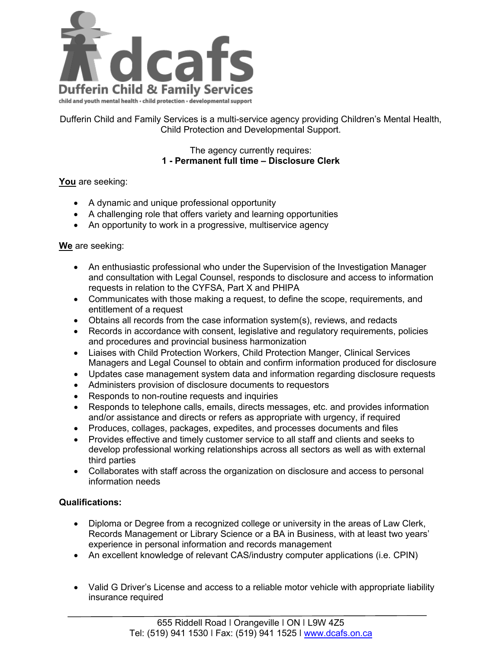

Dufferin Child and Family Services is a multi-service agency providing Children's Mental Health, Child Protection and Developmental Support.

## The agency currently requires: **1 - Permanent full time – Disclosure Clerk**

## **You** are seeking:

- A dynamic and unique professional opportunity
- A challenging role that offers variety and learning opportunities
- An opportunity to work in a progressive, multiservice agency

## **We** are seeking:

- An enthusiastic professional who under the Supervision of the Investigation Manager and consultation with Legal Counsel, responds to disclosure and access to information requests in relation to the CYFSA, Part X and PHIPA
- Communicates with those making a request, to define the scope, requirements, and entitlement of a request
- Obtains all records from the case information system(s), reviews, and redacts
- Records in accordance with consent, legislative and regulatory requirements, policies and procedures and provincial business harmonization
- Liaises with Child Protection Workers, Child Protection Manger, Clinical Services Managers and Legal Counsel to obtain and confirm information produced for disclosure
- Updates case management system data and information regarding disclosure requests
- Administers provision of disclosure documents to requestors
- Responds to non-routine requests and inquiries
- Responds to telephone calls, emails, directs messages, etc. and provides information and/or assistance and directs or refers as appropriate with urgency, if required
- Produces, collages, packages, expedites, and processes documents and files
- Provides effective and timely customer service to all staff and clients and seeks to develop professional working relationships across all sectors as well as with external third parties
- Collaborates with staff across the organization on disclosure and access to personal information needs

## **Qualifications:**

- Diploma or Degree from a recognized college or university in the areas of Law Clerk, Records Management or Library Science or a BA in Business, with at least two years' experience in personal information and records management
- An excellent knowledge of relevant CAS/industry computer applications (i.e. CPIN)
- Valid G Driver's License and access to a reliable motor vehicle with appropriate liability insurance required